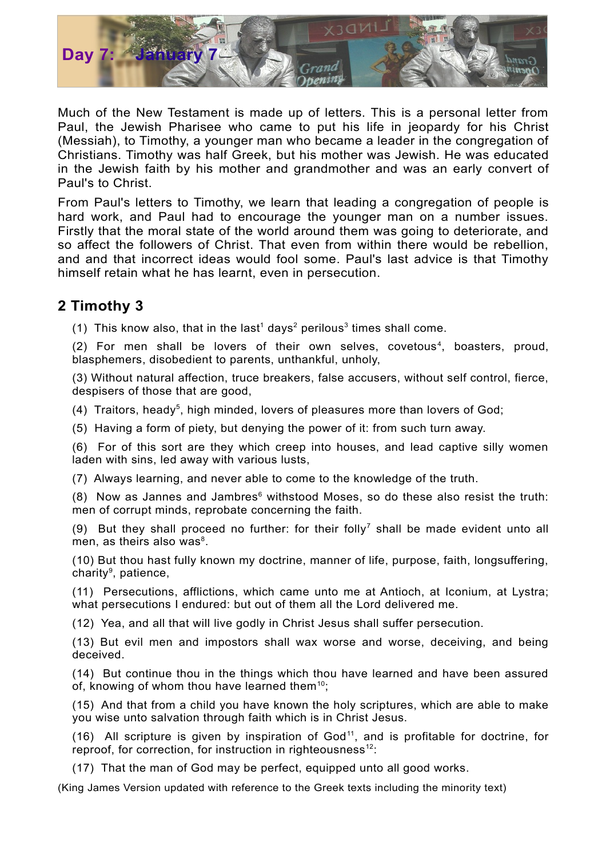

Much of the New Testament is made up of letters. This is a personal letter from Paul, the Jewish Pharisee who came to put his life in jeopardy for his Christ (Messiah), to Timothy, a younger man who became a leader in the congregation of Christians. Timothy was half Greek, but his mother was Jewish. He was educated in the Jewish faith by his mother and grandmother and was an early convert of Paul's to Christ.

From Paul's letters to Timothy, we learn that leading a congregation of people is hard work, and Paul had to encourage the younger man on a number issues. Firstly that the moral state of the world around them was going to deteriorate, and so affect the followers of Christ. That even from within there would be rebellion, and and that incorrect ideas would fool some. Paul's last advice is that Timothy himself retain what he has learnt, even in persecution.

## **2 Timothy 3**

([1](#page-1-0)) This know also, that in the last<sup>1</sup> days<sup>[2](#page-1-1)</sup> perilous<sup>[3](#page-1-2)</sup> times shall come.

(2) For men shall be lovers of their own selves, covetous [4](#page-1-3) , boasters, proud, blasphemers, disobedient to parents, unthankful, unholy,

(3) Without natural affection, truce breakers, false accusers, without self control, fierce, despisers of those that are good,

(4) Traitors, heady<sup>[5](#page-1-4)</sup>, high minded, lovers of pleasures more than lovers of God;

(5) Having a form of piety, but denying the power of it: from such turn away.

(6) For of this sort are they which creep into houses, and lead captive silly women laden with sins, led away with various lusts,

(7) Always learning, and never able to come to the knowledge of the truth.

(8) Now as Jannes and Jambres $<sup>6</sup>$  $<sup>6</sup>$  $<sup>6</sup>$  withstood Moses, so do these also resist the truth:</sup> men of corrupt minds, reprobate concerning the faith.

(9) But they shall proceed no further: for their folly<sup>[7](#page-1-6)</sup> shall be made evident unto all men, as theirs also was<sup>[8](#page-1-7)</sup>.

(10) But thou hast fully known my doctrine, manner of life, purpose, faith, longsuffering, charity<sup>[9](#page-1-8)</sup>, patience,

(11) Persecutions, afflictions, which came unto me at Antioch, at Iconium, at Lystra; what persecutions I endured: but out of them all the Lord delivered me.

(12) Yea, and all that will live godly in Christ Jesus shall suffer persecution.

(13) But evil men and impostors shall wax worse and worse, deceiving, and being deceived.

(14) But continue thou in the things which thou have learned and have been assured of, knowing of whom thou have learned them $^{10}$  $^{10}$  $^{10}$ ;

(15) And that from a child you have known the holy scriptures, which are able to make you wise unto salvation through faith which is in Christ Jesus.

(16) All scripture is given by inspiration of God [11](#page-1-10) , and is profitable for doctrine, for reproof, for correction, for instruction in righteousness<sup>[12](#page-1-11)</sup>:

(17) That the man of God may be perfect, equipped unto all good works.

(King James Version updated with reference to the Greek texts including the minority text)